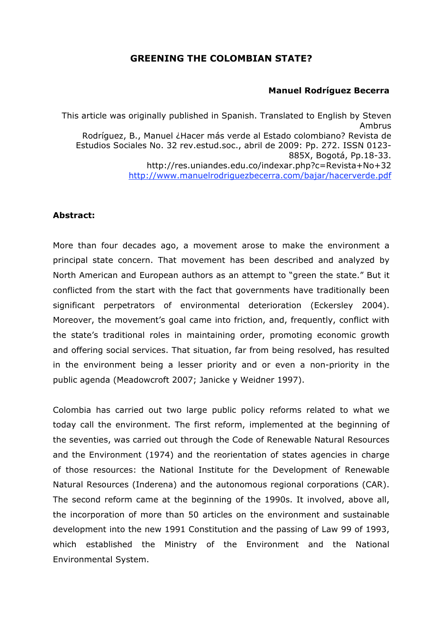# **GREENING THE COLOMBIAN STATE?**

#### **Manuel Rodríguez Becerra**

This article was originally published in Spanish. Translated to English by Steven Ambrus Rodríguez, B., Manuel ¿Hacer más verde al Estado colombiano? Revista de Estudios Sociales No. 32 rev.estud.soc., abril de 2009: Pp. 272. ISSN 0123- 885X, Bogotá, Pp.18-33. http://res.uniandes.edu.co/indexar.php?c=Revista+No+32 http://www.manuelrodriguezbecerra.com/bajar/hacerverde.pdf

## **Abstract:**

More than four decades ago, a movement arose to make the environment a principal state concern. That movement has been described and analyzed by North American and European authors as an attempt to "green the state." But it conflicted from the start with the fact that governments have traditionally been significant perpetrators of environmental deterioration (Eckersley 2004). Moreover, the movement's goal came into friction, and, frequently, conflict with the state's traditional roles in maintaining order, promoting economic growth and offering social services. That situation, far from being resolved, has resulted in the environment being a lesser priority and or even a non-priority in the public agenda (Meadowcroft 2007; Janicke y Weidner 1997).

Colombia has carried out two large public policy reforms related to what we today call the environment. The first reform, implemented at the beginning of the seventies, was carried out through the Code of Renewable Natural Resources and the Environment (1974) and the reorientation of states agencies in charge of those resources: the National Institute for the Development of Renewable Natural Resources (Inderena) and the autonomous regional corporations (CAR). The second reform came at the beginning of the 1990s. It involved, above all, the incorporation of more than 50 articles on the environment and sustainable development into the new 1991 Constitution and the passing of Law 99 of 1993, which established the Ministry of the Environment and the National Environmental System.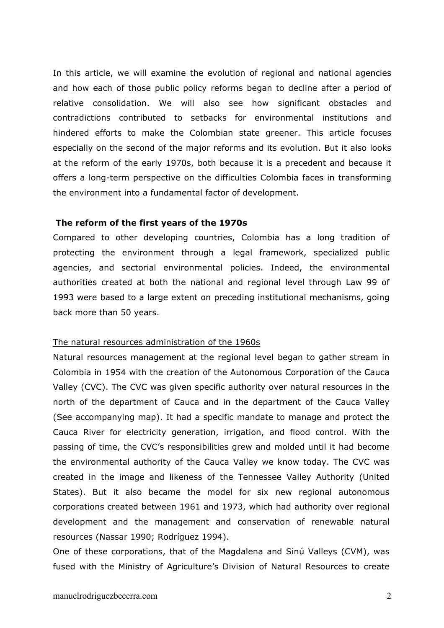In this article, we will examine the evolution of regional and national agencies and how each of those public policy reforms began to decline after a period of relative consolidation. We will also see how significant obstacles and contradictions contributed to setbacks for environmental institutions and hindered efforts to make the Colombian state greener. This article focuses especially on the second of the major reforms and its evolution. But it also looks at the reform of the early 1970s, both because it is a precedent and because it offers a long-term perspective on the difficulties Colombia faces in transforming the environment into a fundamental factor of development.

#### **The reform of the first years of the 1970s**

Compared to other developing countries, Colombia has a long tradition of protecting the environment through a legal framework, specialized public agencies, and sectorial environmental policies. Indeed, the environmental authorities created at both the national and regional level through Law 99 of 1993 were based to a large extent on preceding institutional mechanisms, going back more than 50 years.

#### The natural resources administration of the 1960s

Natural resources management at the regional level began to gather stream in Colombia in 1954 with the creation of the Autonomous Corporation of the Cauca Valley (CVC). The CVC was given specific authority over natural resources in the north of the department of Cauca and in the department of the Cauca Valley (See accompanying map). It had a specific mandate to manage and protect the Cauca River for electricity generation, irrigation, and flood control. With the passing of time, the CVC's responsibilities grew and molded until it had become the environmental authority of the Cauca Valley we know today. The CVC was created in the image and likeness of the Tennessee Valley Authority (United States). But it also became the model for six new regional autonomous corporations created between 1961 and 1973, which had authority over regional development and the management and conservation of renewable natural resources (Nassar 1990; Rodríguez 1994).

One of these corporations, that of the Magdalena and Sinú Valleys (CVM), was fused with the Ministry of Agriculture's Division of Natural Resources to create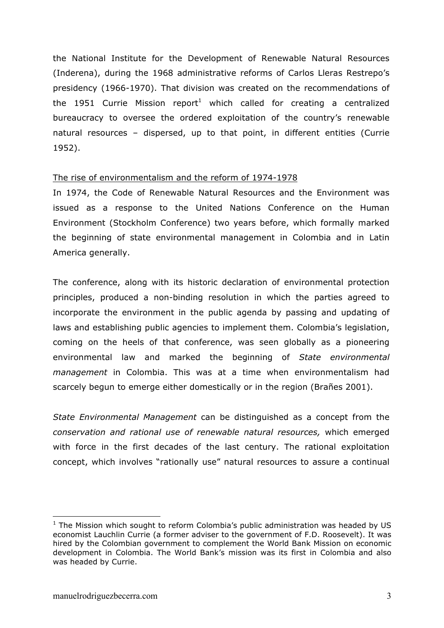the National Institute for the Development of Renewable Natural Resources (Inderena), during the 1968 administrative reforms of Carlos Lleras Restrepo's presidency (1966-1970). That division was created on the recommendations of the 1951 Currie Mission report<sup>1</sup> which called for creating a centralized bureaucracy to oversee the ordered exploitation of the country's renewable natural resources – dispersed, up to that point, in different entities (Currie 1952).

#### The rise of environmentalism and the reform of 1974-1978

In 1974, the Code of Renewable Natural Resources and the Environment was issued as a response to the United Nations Conference on the Human Environment (Stockholm Conference) two years before, which formally marked the beginning of state environmental management in Colombia and in Latin America generally.

The conference, along with its historic declaration of environmental protection principles, produced a non-binding resolution in which the parties agreed to incorporate the environment in the public agenda by passing and updating of laws and establishing public agencies to implement them. Colombia's legislation, coming on the heels of that conference, was seen globally as a pioneering environmental law and marked the beginning of *State environmental management* in Colombia. This was at a time when environmentalism had scarcely begun to emerge either domestically or in the region (Brañes 2001).

*State Environmental Management* can be distinguished as a concept from the *conservation and rational use of renewable natural resources,* which emerged with force in the first decades of the last century. The rational exploitation concept, which involves "rationally use" natural resources to assure a continual

 $1$  The Mission which sought to reform Colombia's public administration was headed by US economist Lauchlin Currie (a former adviser to the government of F.D. Roosevelt). It was hired by the Colombian government to complement the World Bank Mission on economic development in Colombia. The World Bank's mission was its first in Colombia and also was headed by Currie.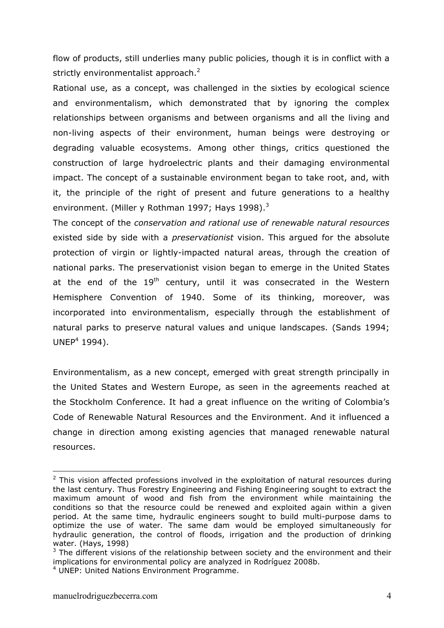flow of products, still underlies many public policies, though it is in conflict with a strictly environmentalist approach. $2$ 

Rational use, as a concept, was challenged in the sixties by ecological science and environmentalism, which demonstrated that by ignoring the complex relationships between organisms and between organisms and all the living and non-living aspects of their environment, human beings were destroying or degrading valuable ecosystems. Among other things, critics questioned the construction of large hydroelectric plants and their damaging environmental impact. The concept of a sustainable environment began to take root, and, with it, the principle of the right of present and future generations to a healthy environment. (Miller y Rothman 1997; Hays 1998). $3$ 

The concept of the *conservation and rational use of renewable natural resources* existed side by side with a *preservationist* vision. This argued for the absolute protection of virgin or lightly-impacted natural areas, through the creation of national parks. The preservationist vision began to emerge in the United States at the end of the  $19<sup>th</sup>$  century, until it was consecrated in the Western Hemisphere Convention of 1940. Some of its thinking, moreover, was incorporated into environmentalism, especially through the establishment of natural parks to preserve natural values and unique landscapes. (Sands 1994;  $UNEP<sup>4</sup> 1994$ ).

Environmentalism, as a new concept, emerged with great strength principally in the United States and Western Europe, as seen in the agreements reached at the Stockholm Conference. It had a great influence on the writing of Colombia's Code of Renewable Natural Resources and the Environment. And it influenced a change in direction among existing agencies that managed renewable natural resources.

 $2$  This vision affected professions involved in the exploitation of natural resources during the last century. Thus Forestry Engineering and Fishing Engineering sought to extract the maximum amount of wood and fish from the environment while maintaining the conditions so that the resource could be renewed and exploited again within a given period. At the same time, hydraulic engineers sought to build multi-purpose dams to optimize the use of water. The same dam would be employed simultaneously for hydraulic generation, the control of floods, irrigation and the production of drinking water. (Hays, 1998)

 $3$  The different visions of the relationship between society and the environment and their implications for environmental policy are analyzed in Rodríguez 2008b.

<sup>4</sup> UNEP: United Nations Environment Programme.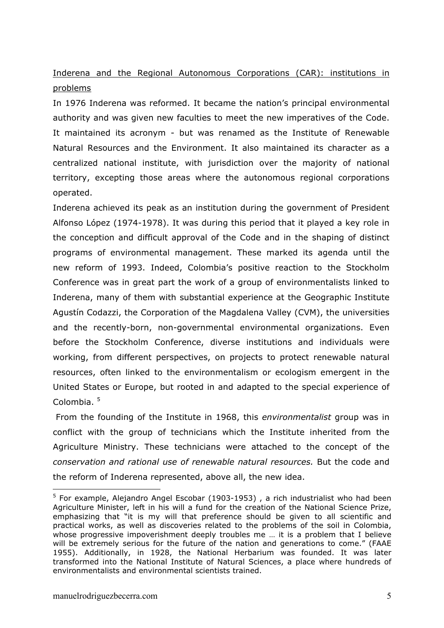# Inderena and the Regional Autonomous Corporations (CAR): institutions in problems

In 1976 Inderena was reformed. It became the nation's principal environmental authority and was given new faculties to meet the new imperatives of the Code. It maintained its acronym - but was renamed as the Institute of Renewable Natural Resources and the Environment. It also maintained its character as a centralized national institute, with jurisdiction over the majority of national territory, excepting those areas where the autonomous regional corporations operated.

Inderena achieved its peak as an institution during the government of President Alfonso López (1974-1978). It was during this period that it played a key role in the conception and difficult approval of the Code and in the shaping of distinct programs of environmental management. These marked its agenda until the new reform of 1993. Indeed, Colombia's positive reaction to the Stockholm Conference was in great part the work of a group of environmentalists linked to Inderena, many of them with substantial experience at the Geographic Institute Agustín Codazzi, the Corporation of the Magdalena Valley (CVM), the universities and the recently-born, non-governmental environmental organizations. Even before the Stockholm Conference, diverse institutions and individuals were working, from different perspectives, on projects to protect renewable natural resources, often linked to the environmentalism or ecologism emergent in the United States or Europe, but rooted in and adapted to the special experience of Colombia.<sup>5</sup>

From the founding of the Institute in 1968, this *environmentalist* group was in conflict with the group of technicians which the Institute inherited from the Agriculture Ministry. These technicians were attached to the concept of the *conservation and rational use of renewable natural resources.* But the code and the reform of Inderena represented, above all, the new idea.

<sup>&</sup>lt;sup>5</sup> For example, Alejandro Angel Escobar (1903-1953) , a rich industrialist who had been Agriculture Minister, left in his will a fund for the creation of the National Science Prize, emphasizing that "it is my will that preference should be given to all scientific and practical works, as well as discoveries related to the problems of the soil in Colombia, whose progressive impoverishment deeply troubles me ... it is a problem that I believe will be extremely serious for the future of the nation and generations to come." (FAAE 1955). Additionally, in 1928, the National Herbarium was founded. It was later transformed into the National Institute of Natural Sciences, a place where hundreds of environmentalists and environmental scientists trained.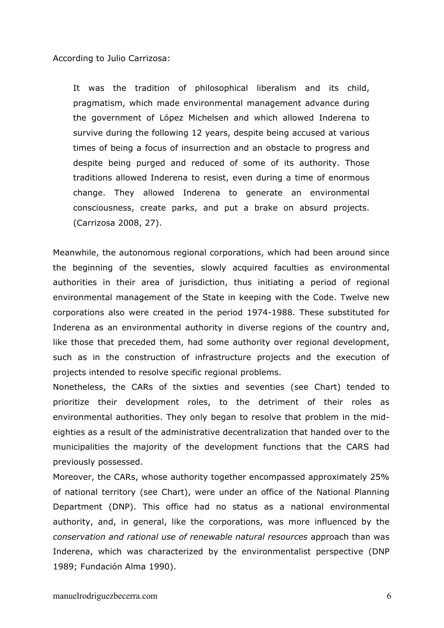According to Julio Carrizosa:

It was the tradition of philosophical liberalism and its child, pragmatism, which made environmental management advance during the government of López Michelsen and which allowed Inderena to survive during the following 12 years, despite being accused at various times of being a focus of insurrection and an obstacle to progress and despite being purged and reduced of some of its authority. Those traditions allowed Inderena to resist, even during a time of enormous change. They allowed Inderena to generate an environmental consciousness, create parks, and put a brake on absurd projects. (Carrizosa 2008, 27).

Meanwhile, the autonomous regional corporations, which had been around since the beginning of the seventies, slowly acquired faculties as environmental authorities in their area of jurisdiction, thus initiating a period of regional environmental management of the State in keeping with the Code. Twelve new corporations also were created in the period 1974-1988. These substituted for Inderena as an environmental authority in diverse regions of the country and, like those that preceded them, had some authority over regional development, such as in the construction of infrastructure projects and the execution of projects intended to resolve specific regional problems.

Nonetheless, the CARs of the sixties and seventies (see Chart) tended to prioritize their development roles, to the detriment of their roles as environmental authorities. They only began to resolve that problem in the mideighties as a result of the administrative decentralization that handed over to the municipalities the majority of the development functions that the CARS had previously possessed.

Moreover, the CARs, whose authority together encompassed approximately 25% of national territory (see Chart), were under an office of the National Planning Department (DNP). This office had no status as a national environmental authority, and, in general, like the corporations, was more influenced by the *conservation and rational use of renewable natural resources* approach than was Inderena, which was characterized by the environmentalist perspective (DNP 1989; Fundación Alma 1990).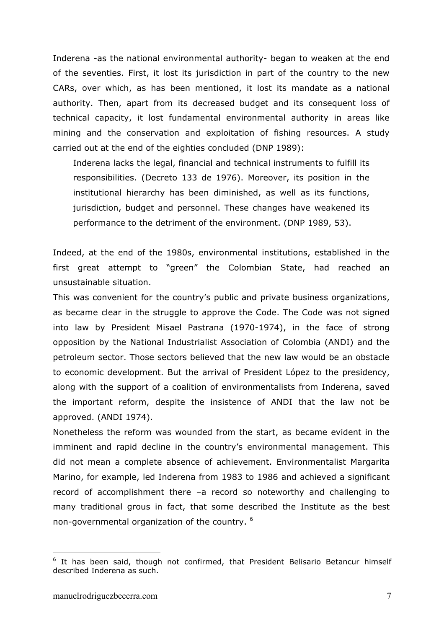Inderena -as the national environmental authority- began to weaken at the end of the seventies. First, it lost its jurisdiction in part of the country to the new CARs, over which, as has been mentioned, it lost its mandate as a national authority. Then, apart from its decreased budget and its consequent loss of technical capacity, it lost fundamental environmental authority in areas like mining and the conservation and exploitation of fishing resources. A study carried out at the end of the eighties concluded (DNP 1989):

Inderena lacks the legal, financial and technical instruments to fulfill its responsibilities. (Decreto 133 de 1976). Moreover, its position in the institutional hierarchy has been diminished, as well as its functions, jurisdiction, budget and personnel. These changes have weakened its performance to the detriment of the environment. (DNP 1989, 53).

Indeed, at the end of the 1980s, environmental institutions, established in the first great attempt to "green" the Colombian State, had reached an unsustainable situation.

This was convenient for the country's public and private business organizations, as became clear in the struggle to approve the Code. The Code was not signed into law by President Misael Pastrana (1970-1974), in the face of strong opposition by the National Industrialist Association of Colombia (ANDI) and the petroleum sector. Those sectors believed that the new law would be an obstacle to economic development. But the arrival of President López to the presidency, along with the support of a coalition of environmentalists from Inderena, saved the important reform, despite the insistence of ANDI that the law not be approved. (ANDI 1974).

Nonetheless the reform was wounded from the start, as became evident in the imminent and rapid decline in the country's environmental management. This did not mean a complete absence of achievement. Environmentalist Margarita Marino, for example, led Inderena from 1983 to 1986 and achieved a significant record of accomplishment there –a record so noteworthy and challenging to many traditional grous in fact, that some described the Institute as the best non-governmental organization of the country. <sup>6</sup>

<sup>&</sup>lt;sup>6</sup> It has been said, though not confirmed, that President Belisario Betancur himself described Inderena as such.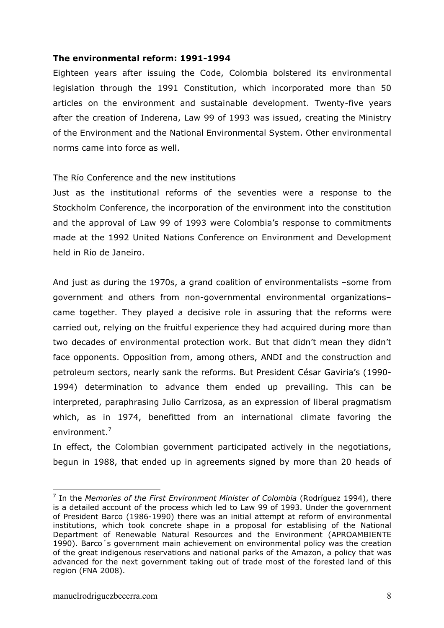## **The environmental reform: 1991-1994**

Eighteen years after issuing the Code, Colombia bolstered its environmental legislation through the 1991 Constitution, which incorporated more than 50 articles on the environment and sustainable development. Twenty-five years after the creation of Inderena, Law 99 of 1993 was issued, creating the Ministry of the Environment and the National Environmental System. Other environmental norms came into force as well.

## The Río Conference and the new institutions

Just as the institutional reforms of the seventies were a response to the Stockholm Conference, the incorporation of the environment into the constitution and the approval of Law 99 of 1993 were Colombia's response to commitments made at the 1992 United Nations Conference on Environment and Development held in Río de Janeiro.

And just as during the 1970s, a grand coalition of environmentalists –some from government and others from non-governmental environmental organizations– came together. They played a decisive role in assuring that the reforms were carried out, relying on the fruitful experience they had acquired during more than two decades of environmental protection work. But that didn't mean they didn't face opponents. Opposition from, among others, ANDI and the construction and petroleum sectors, nearly sank the reforms. But President César Gaviria's (1990- 1994) determination to advance them ended up prevailing. This can be interpreted, paraphrasing Julio Carrizosa, as an expression of liberal pragmatism which, as in 1974, benefitted from an international climate favoring the environment.<sup>7</sup>

In effect, the Colombian government participated actively in the negotiations, begun in 1988, that ended up in agreements signed by more than 20 heads of

<sup>7</sup> In the *Memories of the First Environment Minister of Colombia* (Rodríguez 1994), there is a detailed account of the process which led to Law 99 of 1993. Under the government of President Barco (1986-1990) there was an initial attempt at reform of environmental institutions, which took concrete shape in a proposal for establising of the National Department of Renewable Natural Resources and the Environment (APROAMBIENTE 1990). Barco´s government main achievement on environmental policy was the creation of the great indigenous reservations and national parks of the Amazon, a policy that was advanced for the next government taking out of trade most of the forested land of this region (FNA 2008).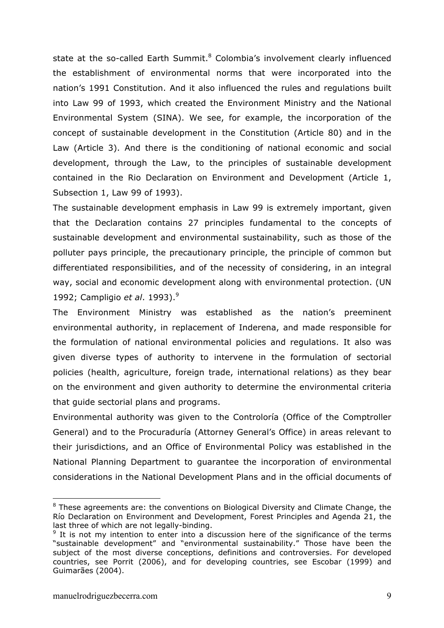state at the so-called Earth Summit. $8$  Colombia's involvement clearly influenced the establishment of environmental norms that were incorporated into the nation's 1991 Constitution. And it also influenced the rules and regulations built into Law 99 of 1993, which created the Environment Ministry and the National Environmental System (SINA). We see, for example, the incorporation of the concept of sustainable development in the Constitution (Article 80) and in the Law (Article 3). And there is the conditioning of national economic and social development, through the Law, to the principles of sustainable development contained in the Rio Declaration on Environment and Development (Article 1, Subsection 1, Law 99 of 1993).

The sustainable development emphasis in Law 99 is extremely important, given that the Declaration contains 27 principles fundamental to the concepts of sustainable development and environmental sustainability, such as those of the polluter pays principle, the precautionary principle, the principle of common but differentiated responsibilities, and of the necessity of considering, in an integral way, social and economic development along with environmental protection. (UN 1992; Campligio *et al*. 1993).<sup>9</sup>

The Environment Ministry was established as the nation's preeminent environmental authority, in replacement of Inderena, and made responsible for the formulation of national environmental policies and regulations. It also was given diverse types of authority to intervene in the formulation of sectorial policies (health, agriculture, foreign trade, international relations) as they bear on the environment and given authority to determine the environmental criteria that guide sectorial plans and programs.

Environmental authority was given to the Controloría (Office of the Comptroller General) and to the Procuraduría (Attorney General's Office) in areas relevant to their jurisdictions, and an Office of Environmental Policy was established in the National Planning Department to guarantee the incorporation of environmental considerations in the National Development Plans and in the official documents of

 $8$  These agreements are: the conventions on Biological Diversity and Climate Change, the Río Declaration on Environment and Development, Forest Principles and Agenda 21, the last three of which are not legally-binding.

 $9$  It is not my intention to enter into a discussion here of the significance of the terms "sustainable development" and "environmental sustainability." Those have been the subject of the most diverse conceptions, definitions and controversies. For developed countries, see Porrit (2006), and for developing countries, see Escobar (1999) and Guimarães (2004).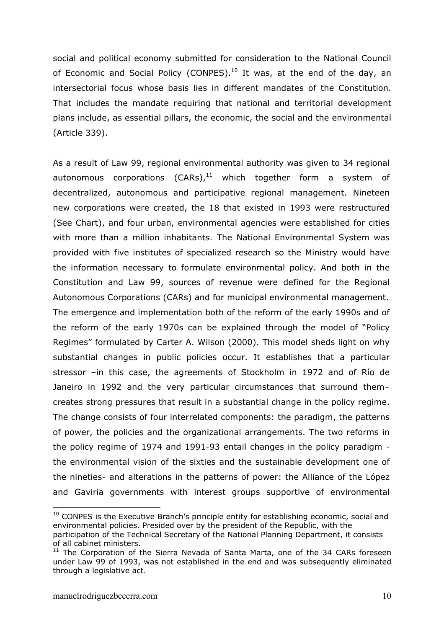social and political economy submitted for consideration to the National Council of Economic and Social Policy (CONPES).<sup>10</sup> It was, at the end of the day, an intersectorial focus whose basis lies in different mandates of the Constitution. That includes the mandate requiring that national and territorial development plans include, as essential pillars, the economic, the social and the environmental (Article 339).

As a result of Law 99, regional environmental authority was given to 34 regional autonomous corporations  $(CARS),<sup>11</sup>$  which together form a system of decentralized, autonomous and participative regional management. Nineteen new corporations were created, the 18 that existed in 1993 were restructured (See Chart), and four urban, environmental agencies were established for cities with more than a million inhabitants. The National Environmental System was provided with five institutes of specialized research so the Ministry would have the information necessary to formulate environmental policy. And both in the Constitution and Law 99, sources of revenue were defined for the Regional Autonomous Corporations (CARs) and for municipal environmental management. The emergence and implementation both of the reform of the early 1990s and of the reform of the early 1970s can be explained through the model of "Policy Regimes" formulated by Carter A. Wilson (2000). This model sheds light on why substantial changes in public policies occur. It establishes that a particular stressor –in this case, the agreements of Stockholm in 1972 and of Río de Janeiro in 1992 and the very particular circumstances that surround them– creates strong pressures that result in a substantial change in the policy regime. The change consists of four interrelated components: the paradigm, the patterns of power, the policies and the organizational arrangements. The two reforms in the policy regime of 1974 and 1991-93 entail changes in the policy paradigm the environmental vision of the sixties and the sustainable development one of the nineties- and alterations in the patterns of power: the Alliance of the López and Gaviria governments with interest groups supportive of environmental

 $10$  CONPES is the Executive Branch's principle entity for establishing economic, social and environmental policies. Presided over by the president of the Republic, with the

participation of the Technical Secretary of the National Planning Department, it consists of all cabinet ministers.

 $11$  The Corporation of the Sierra Nevada of Santa Marta, one of the 34 CARs foreseen under Law 99 of 1993, was not established in the end and was subsequently eliminated through a legislative act.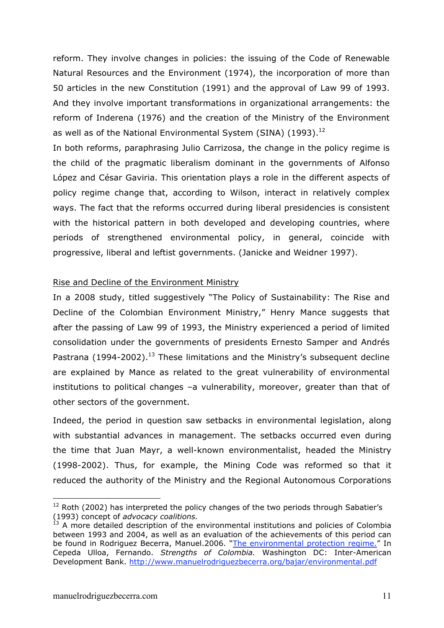reform. They involve changes in policies: the issuing of the Code of Renewable Natural Resources and the Environment (1974), the incorporation of more than 50 articles in the new Constitution (1991) and the approval of Law 99 of 1993. And they involve important transformations in organizational arrangements: the reform of Inderena (1976) and the creation of the Ministry of the Environment as well as of the National Environmental System (SINA) (1993).<sup>12</sup>

In both reforms, paraphrasing Julio Carrizosa, the change in the policy regime is the child of the pragmatic liberalism dominant in the governments of Alfonso López and César Gaviria. This orientation plays a role in the different aspects of policy regime change that, according to Wilson, interact in relatively complex ways. The fact that the reforms occurred during liberal presidencies is consistent with the historical pattern in both developed and developing countries, where periods of strengthened environmental policy, in general, coincide with progressive, liberal and leftist governments. (Janicke and Weidner 1997).

#### Rise and Decline of the Environment Ministry

In a 2008 study, titled suggestively "The Policy of Sustainability: The Rise and Decline of the Colombian Environment Ministry," Henry Mance suggests that after the passing of Law 99 of 1993, the Ministry experienced a period of limited consolidation under the governments of presidents Ernesto Samper and Andrés Pastrana (1994-2002).<sup>13</sup> These limitations and the Ministry's subsequent decline are explained by Mance as related to the great vulnerability of environmental institutions to political changes –a vulnerability, moreover, greater than that of other sectors of the government.

Indeed, the period in question saw setbacks in environmental legislation, along with substantial advances in management. The setbacks occurred even during the time that Juan Mayr, a well-known environmentalist, headed the Ministry (1998-2002). Thus, for example, the Mining Code was reformed so that it reduced the authority of the Ministry and the Regional Autonomous Corporations

 $12$  Roth (2002) has interpreted the policy changes of the two periods through Sabatier's (1993) concept of *advocacy coalitions.* 

 $<sup>13</sup>$  A more detailed description of the environmental institutions and policies of Colombia</sup> between 1993 and 2004, as well as an evaluation of the achievements of this period can be found in Rodriguez Becerra, Manuel.2006. "The environmental protection regime." In Cepeda Ulloa, Fernando. *Strengths of Colombia.* Washington DC: Inter-American Development Bank. http://www.manuelrodriguezbecerra.org/bajar/environmental.pdf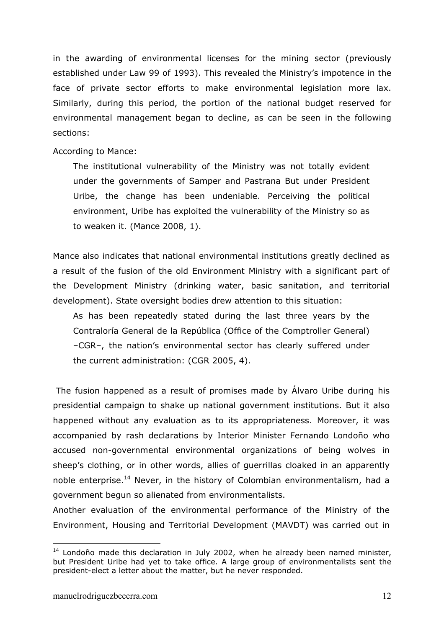in the awarding of environmental licenses for the mining sector (previously established under Law 99 of 1993). This revealed the Ministry's impotence in the face of private sector efforts to make environmental legislation more lax. Similarly, during this period, the portion of the national budget reserved for environmental management began to decline, as can be seen in the following sections:

According to Mance:

The institutional vulnerability of the Ministry was not totally evident under the governments of Samper and Pastrana But under President Uribe, the change has been undeniable. Perceiving the political environment, Uribe has exploited the vulnerability of the Ministry so as to weaken it. (Mance 2008, 1).

Mance also indicates that national environmental institutions greatly declined as a result of the fusion of the old Environment Ministry with a significant part of the Development Ministry (drinking water, basic sanitation, and territorial development). State oversight bodies drew attention to this situation:

As has been repeatedly stated during the last three years by the Contraloría General de la República (Office of the Comptroller General) –CGR–, the nation's environmental sector has clearly suffered under the current administration: (CGR 2005, 4).

The fusion happened as a result of promises made by Álvaro Uribe during his presidential campaign to shake up national government institutions. But it also happened without any evaluation as to its appropriateness. Moreover, it was accompanied by rash declarations by Interior Minister Fernando Londoño who accused non-governmental environmental organizations of being wolves in sheep's clothing, or in other words, allies of guerrillas cloaked in an apparently noble enterprise.<sup>14</sup> Never, in the history of Colombian environmentalism, had a government begun so alienated from environmentalists.

Another evaluation of the environmental performance of the Ministry of the Environment, Housing and Territorial Development (MAVDT) was carried out in

 $14$  Londoño made this declaration in July 2002, when he already been named minister, but President Uribe had yet to take office. A large group of environmentalists sent the president-elect a letter about the matter, but he never responded.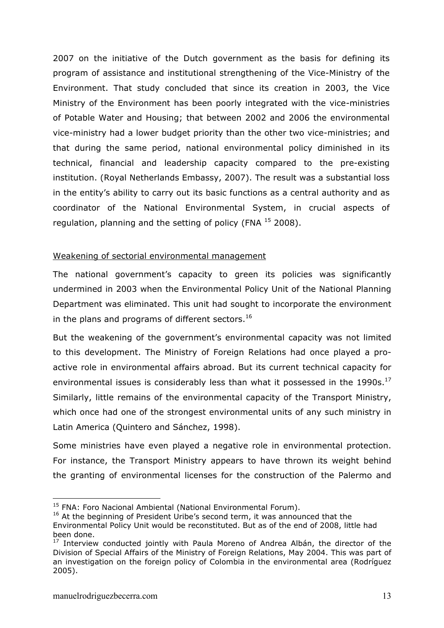2007 on the initiative of the Dutch government as the basis for defining its program of assistance and institutional strengthening of the Vice-Ministry of the Environment. That study concluded that since its creation in 2003, the Vice Ministry of the Environment has been poorly integrated with the vice-ministries of Potable Water and Housing; that between 2002 and 2006 the environmental vice-ministry had a lower budget priority than the other two vice-ministries; and that during the same period, national environmental policy diminished in its technical, financial and leadership capacity compared to the pre-existing institution. (Royal Netherlands Embassy, 2007). The result was a substantial loss in the entity's ability to carry out its basic functions as a central authority and as coordinator of the National Environmental System, in crucial aspects of regulation, planning and the setting of policy (FNA  $^{15}$  2008).

# Weakening of sectorial environmental management

The national government's capacity to green its policies was significantly undermined in 2003 when the Environmental Policy Unit of the National Planning Department was eliminated. This unit had sought to incorporate the environment in the plans and programs of different sectors.<sup>16</sup>

But the weakening of the government's environmental capacity was not limited to this development. The Ministry of Foreign Relations had once played a proactive role in environmental affairs abroad. But its current technical capacity for environmental issues is considerably less than what it possessed in the 1990s.<sup>17</sup> Similarly, little remains of the environmental capacity of the Transport Ministry, which once had one of the strongest environmental units of any such ministry in Latin America (Quintero and Sánchez, 1998).

Some ministries have even played a negative role in environmental protection. For instance, the Transport Ministry appears to have thrown its weight behind the granting of environmental licenses for the construction of the Palermo and

<sup>&</sup>lt;sup>15</sup> FNA: Foro Nacional Ambiental (National Environmental Forum).

<sup>&</sup>lt;sup>16</sup> At the beginning of President Uribe's second term, it was announced that the Environmental Policy Unit would be reconstituted. But as of the end of 2008, little had been done.

 $17$  Interview conducted jointly with Paula Moreno of Andrea Albán, the director of the Division of Special Affairs of the Ministry of Foreign Relations, May 2004. This was part of an investigation on the foreign policy of Colombia in the environmental area (Rodríguez 2005).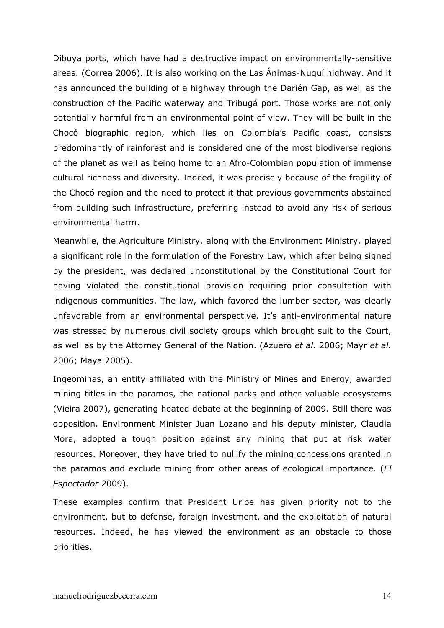Dibuya ports, which have had a destructive impact on environmentally-sensitive areas. (Correa 2006). It is also working on the Las Ánimas-Nuquí highway. And it has announced the building of a highway through the Darién Gap, as well as the construction of the Pacific waterway and Tribugá port. Those works are not only potentially harmful from an environmental point of view. They will be built in the Chocó biographic region, which lies on Colombia's Pacific coast, consists predominantly of rainforest and is considered one of the most biodiverse regions of the planet as well as being home to an Afro-Colombian population of immense cultural richness and diversity. Indeed, it was precisely because of the fragility of the Chocó region and the need to protect it that previous governments abstained from building such infrastructure, preferring instead to avoid any risk of serious environmental harm.

Meanwhile, the Agriculture Ministry, along with the Environment Ministry, played a significant role in the formulation of the Forestry Law, which after being signed by the president, was declared unconstitutional by the Constitutional Court for having violated the constitutional provision requiring prior consultation with indigenous communities. The law, which favored the lumber sector, was clearly unfavorable from an environmental perspective. It's anti-environmental nature was stressed by numerous civil society groups which brought suit to the Court, as well as by the Attorney General of the Nation. (Azuero *et al.* 2006; Mayr *et al.* 2006; Maya 2005).

Ingeominas, an entity affiliated with the Ministry of Mines and Energy, awarded mining titles in the paramos, the national parks and other valuable ecosystems (Vieira 2007), generating heated debate at the beginning of 2009. Still there was opposition. Environment Minister Juan Lozano and his deputy minister, Claudia Mora, adopted a tough position against any mining that put at risk water resources. Moreover, they have tried to nullify the mining concessions granted in the paramos and exclude mining from other areas of ecological importance. (*El Espectador* 2009).

These examples confirm that President Uribe has given priority not to the environment, but to defense, foreign investment, and the exploitation of natural resources. Indeed, he has viewed the environment as an obstacle to those priorities.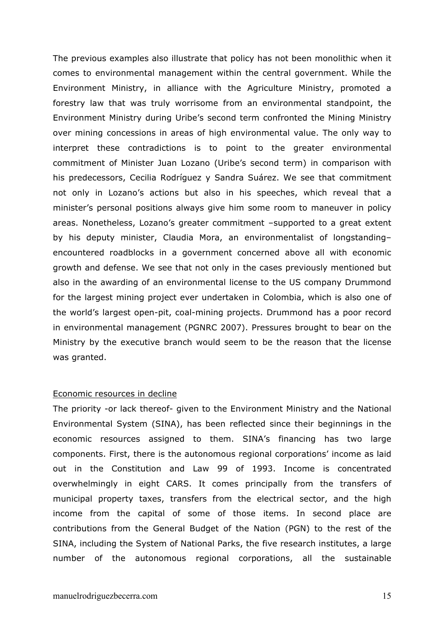The previous examples also illustrate that policy has not been monolithic when it comes to environmental management within the central government. While the Environment Ministry, in alliance with the Agriculture Ministry, promoted a forestry law that was truly worrisome from an environmental standpoint, the Environment Ministry during Uribe's second term confronted the Mining Ministry over mining concessions in areas of high environmental value. The only way to interpret these contradictions is to point to the greater environmental commitment of Minister Juan Lozano (Uribe's second term) in comparison with his predecessors, Cecilia Rodríguez y Sandra Suárez. We see that commitment not only in Lozano's actions but also in his speeches, which reveal that a minister's personal positions always give him some room to maneuver in policy areas. Nonetheless, Lozano's greater commitment –supported to a great extent by his deputy minister, Claudia Mora, an environmentalist of longstanding– encountered roadblocks in a government concerned above all with economic growth and defense. We see that not only in the cases previously mentioned but also in the awarding of an environmental license to the US company Drummond for the largest mining project ever undertaken in Colombia, which is also one of the world's largest open-pit, coal-mining projects. Drummond has a poor record in environmental management (PGNRC 2007). Pressures brought to bear on the Ministry by the executive branch would seem to be the reason that the license was granted.

#### Economic resources in decline

The priority -or lack thereof- given to the Environment Ministry and the National Environmental System (SINA), has been reflected since their beginnings in the economic resources assigned to them. SINA's financing has two large components. First, there is the autonomous regional corporations' income as laid out in the Constitution and Law 99 of 1993. Income is concentrated overwhelmingly in eight CARS. It comes principally from the transfers of municipal property taxes, transfers from the electrical sector, and the high income from the capital of some of those items. In second place are contributions from the General Budget of the Nation (PGN) to the rest of the SINA, including the System of National Parks, the five research institutes, a large number of the autonomous regional corporations, all the sustainable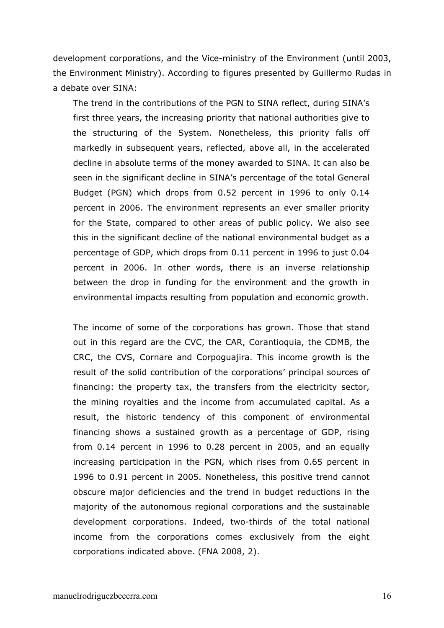development corporations, and the Vice-ministry of the Environment (until 2003, the Environment Ministry). According to figures presented by Guillermo Rudas in a debate over SINA:

The trend in the contributions of the PGN to SINA reflect, during SINA's first three years, the increasing priority that national authorities give to the structuring of the System. Nonetheless, this priority falls off markedly in subsequent years, reflected, above all, in the accelerated decline in absolute terms of the money awarded to SINA. It can also be seen in the significant decline in SINA's percentage of the total General Budget (PGN) which drops from 0.52 percent in 1996 to only 0.14 percent in 2006. The environment represents an ever smaller priority for the State, compared to other areas of public policy. We also see this in the significant decline of the national environmental budget as a percentage of GDP, which drops from 0.11 percent in 1996 to just 0.04 percent in 2006. In other words, there is an inverse relationship between the drop in funding for the environment and the growth in environmental impacts resulting from population and economic growth.

The income of some of the corporations has grown. Those that stand out in this regard are the CVC, the CAR, Corantioquia, the CDMB, the CRC, the CVS, Cornare and Corpoguajira. This income growth is the result of the solid contribution of the corporations' principal sources of financing: the property tax, the transfers from the electricity sector, the mining royalties and the income from accumulated capital. As a result, the historic tendency of this component of environmental financing shows a sustained growth as a percentage of GDP, rising from 0.14 percent in 1996 to 0.28 percent in 2005, and an equally increasing participation in the PGN, which rises from 0.65 percent in 1996 to 0.91 percent in 2005. Nonetheless, this positive trend cannot obscure major deficiencies and the trend in budget reductions in the majority of the autonomous regional corporations and the sustainable development corporations. Indeed, two-thirds of the total national income from the corporations comes exclusively from the eight corporations indicated above. (FNA 2008, 2).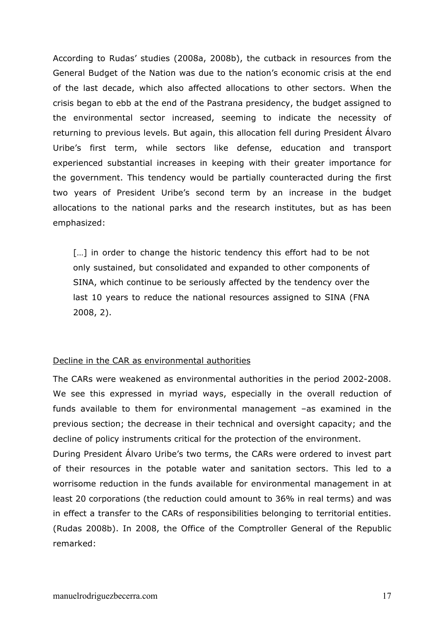According to Rudas' studies (2008a, 2008b), the cutback in resources from the General Budget of the Nation was due to the nation's economic crisis at the end of the last decade, which also affected allocations to other sectors. When the crisis began to ebb at the end of the Pastrana presidency, the budget assigned to the environmental sector increased, seeming to indicate the necessity of returning to previous levels. But again, this allocation fell during President Álvaro Uribe's first term, while sectors like defense, education and transport experienced substantial increases in keeping with their greater importance for the government. This tendency would be partially counteracted during the first two years of President Uribe's second term by an increase in the budget allocations to the national parks and the research institutes, but as has been emphasized:

[...] in order to change the historic tendency this effort had to be not only sustained, but consolidated and expanded to other components of SINA, which continue to be seriously affected by the tendency over the last 10 years to reduce the national resources assigned to SINA (FNA 2008, 2).

#### Decline in the CAR as environmental authorities

The CARs were weakened as environmental authorities in the period 2002-2008. We see this expressed in myriad ways, especially in the overall reduction of funds available to them for environmental management –as examined in the previous section; the decrease in their technical and oversight capacity; and the decline of policy instruments critical for the protection of the environment.

During President Álvaro Uribe's two terms, the CARs were ordered to invest part of their resources in the potable water and sanitation sectors. This led to a worrisome reduction in the funds available for environmental management in at least 20 corporations (the reduction could amount to 36% in real terms) and was in effect a transfer to the CARs of responsibilities belonging to territorial entities. (Rudas 2008b). In 2008, the Office of the Comptroller General of the Republic remarked: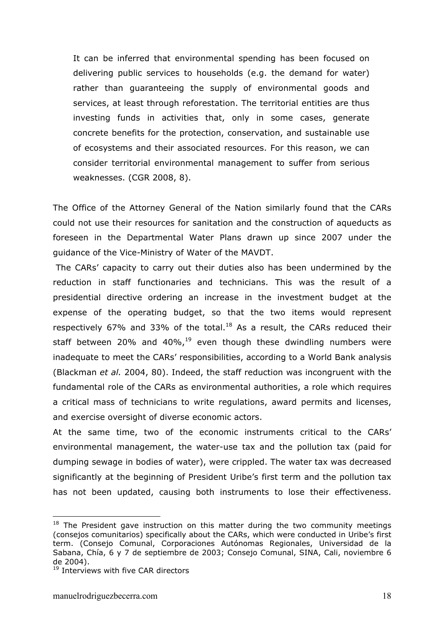It can be inferred that environmental spending has been focused on delivering public services to households (e.g. the demand for water) rather than guaranteeing the supply of environmental goods and services, at least through reforestation. The territorial entities are thus investing funds in activities that, only in some cases, generate concrete benefits for the protection, conservation, and sustainable use of ecosystems and their associated resources. For this reason, we can consider territorial environmental management to suffer from serious weaknesses. (CGR 2008, 8).

The Office of the Attorney General of the Nation similarly found that the CARs could not use their resources for sanitation and the construction of aqueducts as foreseen in the Departmental Water Plans drawn up since 2007 under the guidance of the Vice-Ministry of Water of the MAVDT.

The CARs' capacity to carry out their duties also has been undermined by the reduction in staff functionaries and technicians. This was the result of a presidential directive ordering an increase in the investment budget at the expense of the operating budget, so that the two items would represent respectively 67% and 33% of the total. $^{18}$  As a result, the CARs reduced their staff between 20% and 40%, $19$  even though these dwindling numbers were inadequate to meet the CARs' responsibilities, according to a World Bank analysis (Blackman *et al.* 2004, 80). Indeed, the staff reduction was incongruent with the fundamental role of the CARs as environmental authorities, a role which requires a critical mass of technicians to write regulations, award permits and licenses, and exercise oversight of diverse economic actors.

At the same time, two of the economic instruments critical to the CARs' environmental management, the water-use tax and the pollution tax (paid for dumping sewage in bodies of water), were crippled. The water tax was decreased significantly at the beginning of President Uribe's first term and the pollution tax has not been updated, causing both instruments to lose their effectiveness.

 $18$  The President gave instruction on this matter during the two community meetings (consejos comunitarios) specifically about the CARs, which were conducted in Uribe's first term. (Consejo Comunal, Corporaciones Autónomas Regionales, Universidad de la Sabana, Chía, 6 y 7 de septiembre de 2003; Consejo Comunal, SINA, Cali, noviembre 6 de 2004).

<sup>&</sup>lt;sup>19</sup> Interviews with five CAR directors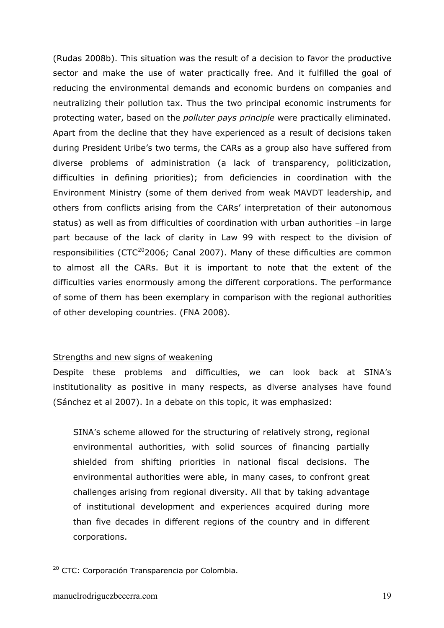(Rudas 2008b). This situation was the result of a decision to favor the productive sector and make the use of water practically free. And it fulfilled the goal of reducing the environmental demands and economic burdens on companies and neutralizing their pollution tax. Thus the two principal economic instruments for protecting water, based on the *polluter pays principle* were practically eliminated. Apart from the decline that they have experienced as a result of decisions taken during President Uribe's two terms, the CARs as a group also have suffered from diverse problems of administration (a lack of transparency, politicization, difficulties in defining priorities); from deficiencies in coordination with the Environment Ministry (some of them derived from weak MAVDT leadership, and others from conflicts arising from the CARs' interpretation of their autonomous status) as well as from difficulties of coordination with urban authorities –in large part because of the lack of clarity in Law 99 with respect to the division of responsibilities ( $CTC^{20}$ 2006; Canal 2007). Many of these difficulties are common to almost all the CARs. But it is important to note that the extent of the difficulties varies enormously among the different corporations. The performance of some of them has been exemplary in comparison with the regional authorities of other developing countries. (FNA 2008).

# Strengths and new signs of weakening

Despite these problems and difficulties, we can look back at SINA's institutionality as positive in many respects, as diverse analyses have found (Sánchez et al 2007). In a debate on this topic, it was emphasized:

SINA's scheme allowed for the structuring of relatively strong, regional environmental authorities, with solid sources of financing partially shielded from shifting priorities in national fiscal decisions. The environmental authorities were able, in many cases, to confront great challenges arising from regional diversity. All that by taking advantage of institutional development and experiences acquired during more than five decades in different regions of the country and in different corporations.

<sup>&</sup>lt;sup>20</sup> CTC: Corporación Transparencia por Colombia.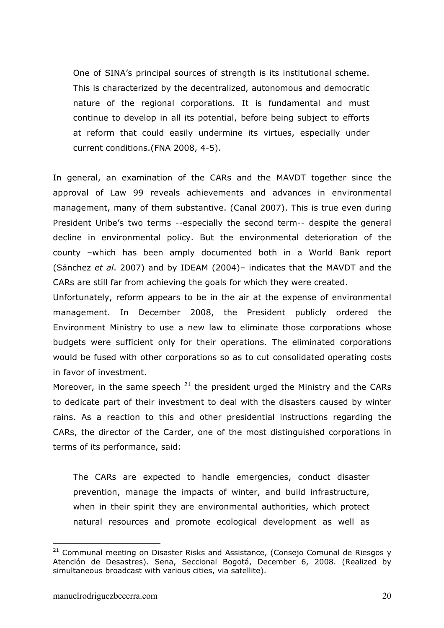One of SINA's principal sources of strength is its institutional scheme. This is characterized by the decentralized, autonomous and democratic nature of the regional corporations. It is fundamental and must continue to develop in all its potential, before being subject to efforts at reform that could easily undermine its virtues, especially under current conditions.(FNA 2008, 4-5).

In general, an examination of the CARs and the MAVDT together since the approval of Law 99 reveals achievements and advances in environmental management, many of them substantive. (Canal 2007). This is true even during President Uribe's two terms --especially the second term-- despite the general decline in environmental policy. But the environmental deterioration of the county –which has been amply documented both in a World Bank report (Sánchez *et al*. 2007) and by IDEAM (2004)– indicates that the MAVDT and the CARs are still far from achieving the goals for which they were created.

Unfortunately, reform appears to be in the air at the expense of environmental management. In December 2008, the President publicly ordered the Environment Ministry to use a new law to eliminate those corporations whose budgets were sufficient only for their operations. The eliminated corporations would be fused with other corporations so as to cut consolidated operating costs in favor of investment.

Moreover, in the same speech  $21$  the president urged the Ministry and the CARs to dedicate part of their investment to deal with the disasters caused by winter rains. As a reaction to this and other presidential instructions regarding the CARs, the director of the Carder, one of the most distinguished corporations in terms of its performance, said:

The CARs are expected to handle emergencies, conduct disaster prevention, manage the impacts of winter, and build infrastructure, when in their spirit they are environmental authorities, which protect natural resources and promote ecological development as well as

 $21$  Communal meeting on Disaster Risks and Assistance, (Consejo Comunal de Riesgos y Atención de Desastres). Sena, Seccional Bogotá, December 6, 2008. (Realized by simultaneous broadcast with various cities, via satellite).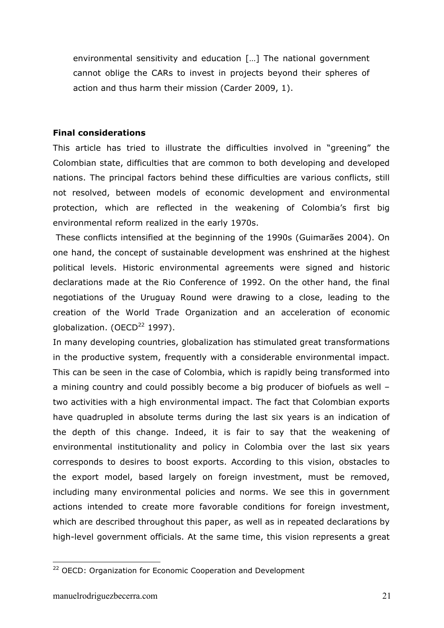environmental sensitivity and education […] The national government cannot oblige the CARs to invest in projects beyond their spheres of action and thus harm their mission (Carder 2009, 1).

## **Final considerations**

This article has tried to illustrate the difficulties involved in "greening" the Colombian state, difficulties that are common to both developing and developed nations. The principal factors behind these difficulties are various conflicts, still not resolved, between models of economic development and environmental protection, which are reflected in the weakening of Colombia's first big environmental reform realized in the early 1970s.

These conflicts intensified at the beginning of the 1990s (Guimarães 2004). On one hand, the concept of sustainable development was enshrined at the highest political levels. Historic environmental agreements were signed and historic declarations made at the Rio Conference of 1992. On the other hand, the final negotiations of the Uruguay Round were drawing to a close, leading to the creation of the World Trade Organization and an acceleration of economic globalization. (OECD $^{22}$  1997).

In many developing countries, globalization has stimulated great transformations in the productive system, frequently with a considerable environmental impact. This can be seen in the case of Colombia, which is rapidly being transformed into a mining country and could possibly become a big producer of biofuels as well – two activities with a high environmental impact. The fact that Colombian exports have quadrupled in absolute terms during the last six years is an indication of the depth of this change. Indeed, it is fair to say that the weakening of environmental institutionality and policy in Colombia over the last six years corresponds to desires to boost exports. According to this vision, obstacles to the export model, based largely on foreign investment, must be removed, including many environmental policies and norms. We see this in government actions intended to create more favorable conditions for foreign investment, which are described throughout this paper, as well as in repeated declarations by high-level government officials. At the same time, this vision represents a great

<sup>&</sup>lt;sup>22</sup> OECD: Organization for Economic Cooperation and Development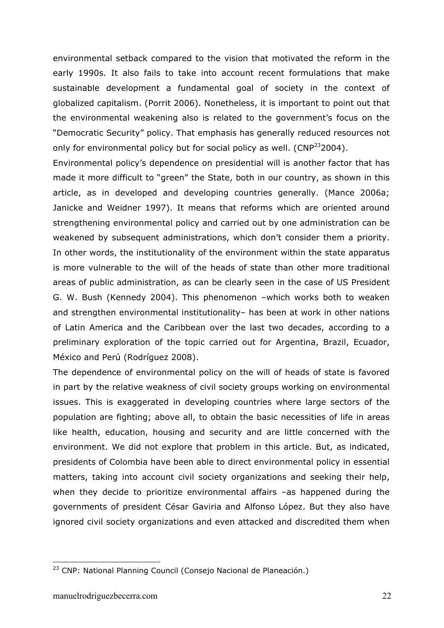environmental setback compared to the vision that motivated the reform in the early 1990s. It also fails to take into account recent formulations that make sustainable development a fundamental goal of society in the context of globalized capitalism. (Porrit 2006). Nonetheless, it is important to point out that the environmental weakening also is related to the government's focus on the "Democratic Security" policy. That emphasis has generally reduced resources not only for environmental policy but for social policy as well. ( $CNP<sup>23</sup>2004$ ).

Environmental policy's dependence on presidential will is another factor that has made it more difficult to "green" the State, both in our country, as shown in this article, as in developed and developing countries generally. (Mance 2006a; Janicke and Weidner 1997). It means that reforms which are oriented around strengthening environmental policy and carried out by one administration can be weakened by subsequent administrations, which don't consider them a priority. In other words, the institutionality of the environment within the state apparatus is more vulnerable to the will of the heads of state than other more traditional areas of public administration, as can be clearly seen in the case of US President G. W. Bush (Kennedy 2004). This phenomenon –which works both to weaken and strengthen environmental institutionality– has been at work in other nations of Latin America and the Caribbean over the last two decades, according to a preliminary exploration of the topic carried out for Argentina, Brazil, Ecuador, México and Perú (Rodríguez 2008).

The dependence of environmental policy on the will of heads of state is favored in part by the relative weakness of civil society groups working on environmental issues. This is exaggerated in developing countries where large sectors of the population are fighting; above all, to obtain the basic necessities of life in areas like health, education, housing and security and are little concerned with the environment. We did not explore that problem in this article. But, as indicated, presidents of Colombia have been able to direct environmental policy in essential matters, taking into account civil society organizations and seeking their help, when they decide to prioritize environmental affairs -as happened during the governments of president César Gaviria and Alfonso López. But they also have ignored civil society organizations and even attacked and discredited them when

<sup>&</sup>lt;sup>23</sup> CNP: National Planning Council (Consejo Nacional de Planeación.)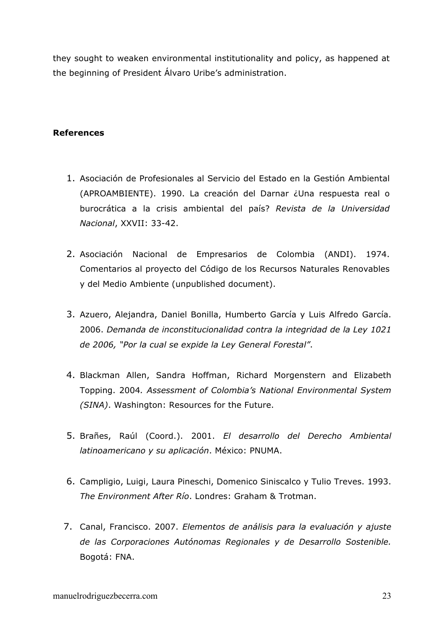they sought to weaken environmental institutionality and policy, as happened at the beginning of President Álvaro Uribe's administration.

# **References**

- 1. Asociación de Profesionales al Servicio del Estado en la Gestión Ambiental (APROAMBIENTE). 1990. La creación del Darnar ¿Una respuesta real o burocrática a la crisis ambiental del país? *Revista de la Universidad Nacional*, XXVII: 33-42.
- 2. Asociación Nacional de Empresarios de Colombia (ANDI). 1974. Comentarios al proyecto del Código de los Recursos Naturales Renovables y del Medio Ambiente (unpublished document).
- 3. Azuero, Alejandra, Daniel Bonilla, Humberto García y Luis Alfredo García. 2006. *Demanda de inconstitucionalidad contra la integridad de la Ley 1021 de 2006, "Por la cual se expide la Ley General Forestal"*.
- 4. Blackman Allen, Sandra Hoffman, Richard Morgenstern and Elizabeth Topping. 2004*. Assessment of Colombia's National Environmental System (SINA)*. Washington: Resources for the Future.
- 5. Brañes, Raúl (Coord.). 2001. *El desarrollo del Derecho Ambiental latinoamericano y su aplicación*. México: PNUMA.
- 6. Campligio, Luigi, Laura Pineschi, Domenico Siniscalco y Tulio Treves. 1993. *The Environment After Río*. Londres: Graham & Trotman.
- 7. Canal, Francisco. 2007. *Elementos de análisis para la evaluación y ajuste de las Corporaciones Autónomas Regionales y de Desarrollo Sostenible.* Bogotá: FNA.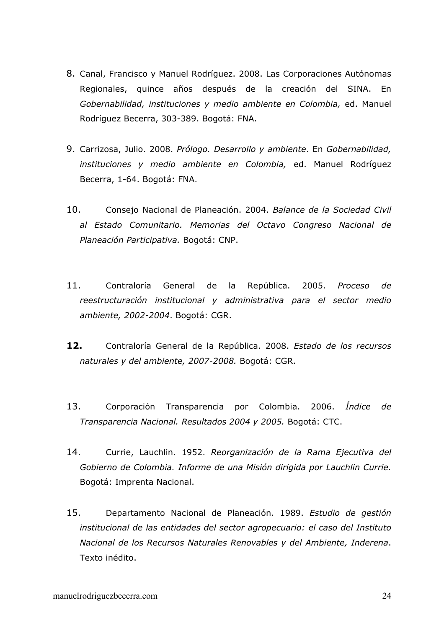- 8. Canal, Francisco y Manuel Rodríguez. 2008. Las Corporaciones Autónomas Regionales, quince años después de la creación del SINA. En *Gobernabilidad, instituciones y medio ambiente en Colombia,* ed. Manuel Rodríguez Becerra, 303-389. Bogotá: FNA.
- 9. Carrizosa, Julio. 2008. *Prólogo. Desarrollo y ambiente*. En *Gobernabilidad, instituciones y medio ambiente en Colombia,* ed. Manuel Rodríguez Becerra, 1-64. Bogotá: FNA.
- 10. Consejo Nacional de Planeación. 2004. *Balance de la Sociedad Civil al Estado Comunitario. Memorias del Octavo Congreso Nacional de Planeación Participativa.* Bogotá: CNP.
- 11. Contraloría General de la República. 2005. *Proceso de reestructuración institucional y administrativa para el sector medio ambiente, 2002-2004*. Bogotá: CGR.
- **12.** Contraloría General de la República. 2008. *Estado de los recursos naturales y del ambiente, 2007-2008.* Bogotá: CGR.
- 13. Corporación Transparencia por Colombia. 2006. *Índice de Transparencia Nacional. Resultados 2004 y 2005.* Bogotá: CTC.
- 14. Currie, Lauchlin. 1952. *Reorganización de la Rama Ejecutiva del Gobierno de Colombia. Informe de una Misión dirigida por Lauchlin Currie.*  Bogotá: Imprenta Nacional.
- 15. Departamento Nacional de Planeación. 1989. *Estudio de gestión institucional de las entidades del sector agropecuario: el caso del Instituto Nacional de los Recursos Naturales Renovables y del Ambiente, Inderena*. Texto inédito.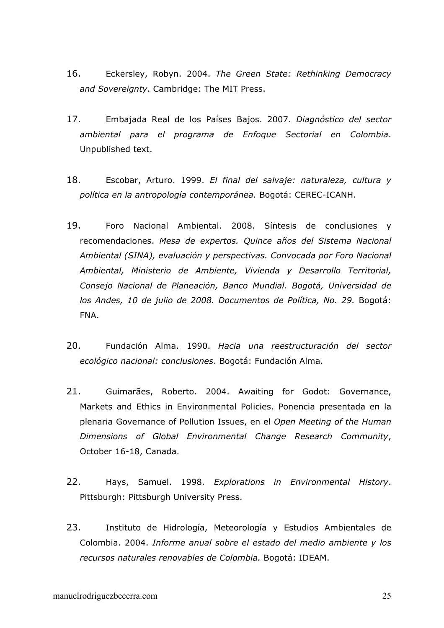- 16. Eckersley, Robyn. 2004. *The Green State: Rethinking Democracy and Sovereignty*. Cambridge: The MIT Press.
- 17. Embajada Real de los Países Bajos. 2007. *Diagnóstico del sector ambiental para el programa de Enfoque Sectorial en Colombia*. Unpublished text.
- 18. Escobar, Arturo. 1999. *El final del salvaje: naturaleza, cultura y política en la antropología contemporánea.* Bogotá: CEREC-ICANH.
- 19. Foro Nacional Ambiental. 2008. Síntesis de conclusiones y recomendaciones. *Mesa de expertos. Quince años del Sistema Nacional Ambiental (SINA), evaluación y perspectivas. Convocada por Foro Nacional Ambiental, Ministerio de Ambiente, Vivienda y Desarrollo Territorial, Consejo Nacional de Planeación, Banco Mundial. Bogotá, Universidad de los Andes, 10 de julio de 2008. Documentos de Política, No. 29.* Bogotá: FNA.
- 20. Fundación Alma. 1990. *Hacia una reestructuración del sector ecológico nacional: conclusiones*. Bogotá: Fundación Alma.
- 21. Guimarães, Roberto. 2004. Awaiting for Godot: Governance, Markets and Ethics in Environmental Policies. Ponencia presentada en la plenaria Governance of Pollution Issues, en el *Open Meeting of the Human Dimensions of Global Environmental Change Research Community*, October 16-18, Canada.
- 22. Hays, Samuel. 1998. *Explorations in Environmental History*. Pittsburgh: Pittsburgh University Press.
- 23. Instituto de Hidrología, Meteorología y Estudios Ambientales de Colombia. 2004. *Informe anual sobre el estado del medio ambiente y los recursos naturales renovables de Colombia.* Bogotá: IDEAM.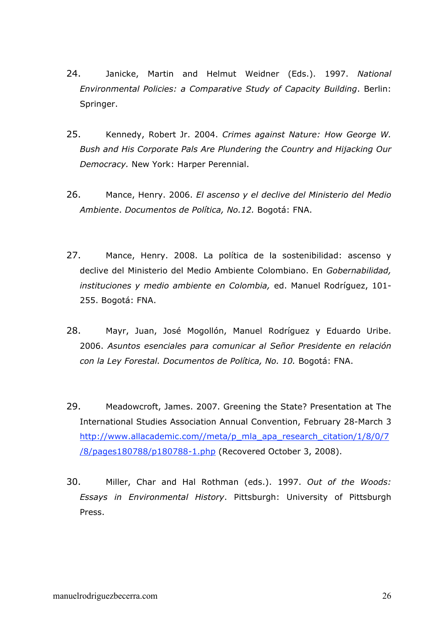- 24. Janicke, Martin and Helmut Weidner (Eds.). 1997. *National Environmental Policies: a Comparative Study of Capacity Building*. Berlin: Springer.
- 25. Kennedy, Robert Jr. 2004. *Crimes against Nature: How George W. Bush and His Corporate Pals Are Plundering the Country and Hijacking Our Democracy.* New York: Harper Perennial.
- 26. Mance, Henry. 2006. *El ascenso y el declive del Ministerio del Medio Ambiente*. *Documentos de Política, No.12.* Bogotá: FNA.
- 27. Mance, Henry. 2008. La política de la sostenibilidad: ascenso y declive del Ministerio del Medio Ambiente Colombiano. En *Gobernabilidad, instituciones y medio ambiente en Colombia,* ed. Manuel Rodríguez, 101- 255. Bogotá: FNA.
- 28. Mayr, Juan, José Mogollón, Manuel Rodríguez y Eduardo Uribe. 2006. *Asuntos esenciales para comunicar al Señor Presidente en relación con la Ley Forestal. Documentos de Política, No. 10.* Bogotá: FNA.
- 29. Meadowcroft, James. 2007. Greening the State? Presentation at The International Studies Association Annual Convention, February 28-March 3 http://www.allacademic.com//meta/p\_mla\_apa\_research\_citation/1/8/0/7 /8/pages180788/p180788-1.php (Recovered October 3, 2008).
- 30. Miller, Char and Hal Rothman (eds.). 1997. *Out of the Woods: Essays in Environmental History*. Pittsburgh: University of Pittsburgh Press.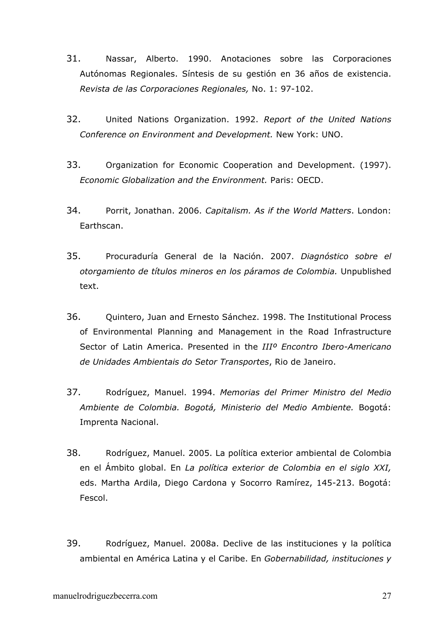- 31. Nassar, Alberto. 1990. Anotaciones sobre las Corporaciones Autónomas Regionales. Síntesis de su gestión en 36 años de existencia. *Revista de las Corporaciones Regionales,* No. 1: 97-102.
- 32. United Nations Organization. 1992. *Report of the United Nations Conference on Environment and Development.* New York: UNO.
- 33. Organization for Economic Cooperation and Development. (1997). *Economic Globalization and the Environment.* Paris: OECD.
- 34. Porrit, Jonathan. 2006. *Capitalism. As if the World Matters*. London: Earthscan.
- 35. Procuraduría General de la Nación. 2007. *Diagnóstico sobre el otorgamiento de títulos mineros en los páramos de Colombia.* Unpublished text.
- 36. Quintero, Juan and Ernesto Sánchez. 1998. The Institutional Process of Environmental Planning and Management in the Road Infrastructure Sector of Latin America. Presented in the *IIIº Encontro Ibero-Americano de Unidades Ambientais do Setor Transportes*, Rio de Janeiro.
- 37. Rodríguez, Manuel. 1994. *Memorias del Primer Ministro del Medio Ambiente de Colombia. Bogotá, Ministerio del Medio Ambiente.* Bogotá: Imprenta Nacional.
- 38. Rodríguez, Manuel. 2005. La política exterior ambiental de Colombia en el Ámbito global. En *La política exterior de Colombia en el siglo XXI,* eds. Martha Ardila, Diego Cardona y Socorro Ramírez, 145-213. Bogotá: Fescol.
- 39. Rodríguez, Manuel. 2008a. Declive de las instituciones y la política ambiental en América Latina y el Caribe. En *Gobernabilidad, instituciones y*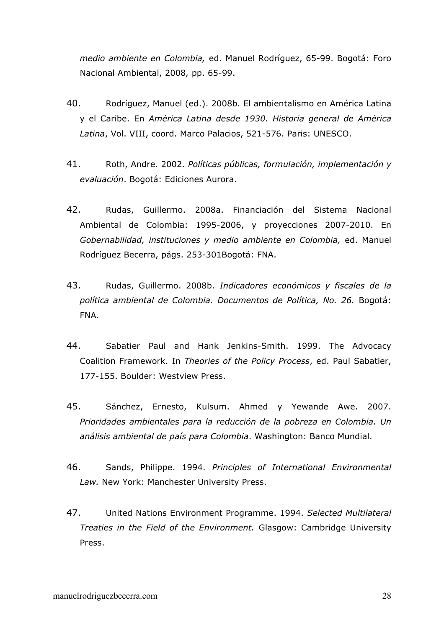*medio ambiente en Colombia,* ed. Manuel Rodríguez, 65-99. Bogotá: Foro Nacional Ambiental, 2008*,* pp. 65-99.

- 40. Rodríguez, Manuel (ed.). 2008b. El ambientalismo en América Latina y el Caribe. En *América Latina desde 1930. Historia general de América Latina*, Vol. VIII, coord. Marco Palacios, 521-576. Paris: UNESCO.
- 41. Roth, Andre. 2002. *Políticas públicas, formulación, implementación y evaluación*. Bogotá: Ediciones Aurora.
- 42. Rudas, Guillermo. 2008a. Financiación del Sistema Nacional Ambiental de Colombia: 1995-2006, y proyecciones 2007-2010. En *Gobernabilidad, instituciones y medio ambiente en Colombia,* ed. Manuel Rodríguez Becerra, págs. 253-301Bogotá: FNA.
- 43. Rudas, Guillermo. 2008b. *Indicadores económicos y fiscales de la política ambiental de Colombia. Documentos de Política, No. 26.* Bogotá: FNA.
- 44. Sabatier Paul and Hank Jenkins-Smith. 1999. The Advocacy Coalition Framework. In *Theories of the Policy Process*, ed. Paul Sabatier, 177-155. Boulder: Westview Press.
- 45. Sánchez, Ernesto, Kulsum. Ahmed y Yewande Awe. 2007. *Prioridades ambientales para la reducción de la pobreza en Colombia. Un análisis ambiental de país para Colombia*. Washington: Banco Mundial.
- 46. Sands, Philippe. 1994. *Principles of International Environmental Law.* New York: Manchester University Press.
- 47. United Nations Environment Programme. 1994. *Selected Multilateral Treaties in the Field of the Environment.* Glasgow: Cambridge University Press.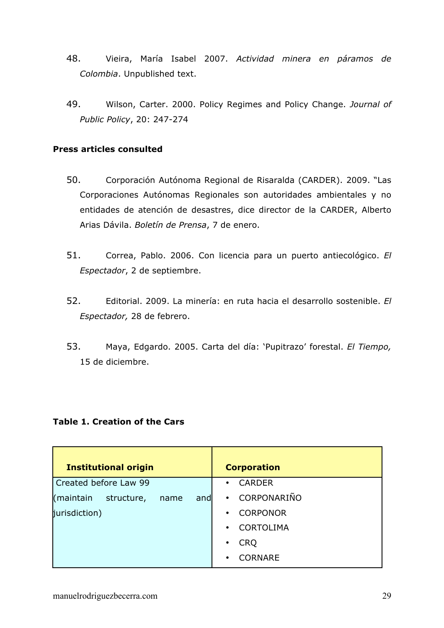- 48. Vieira, María Isabel 2007. *Actividad minera en páramos de Colombia*. Unpublished text.
- 49. Wilson, Carter. 2000. Policy Regimes and Policy Change. *Journal of Public Policy*, 20: 247-274

# **Press articles consulted**

- 50. Corporación Autónoma Regional de Risaralda (CARDER). 2009. "Las Corporaciones Autónomas Regionales son autoridades ambientales y no entidades de atención de desastres, dice director de la CARDER, Alberto Arias Dávila. *Boletín de Prensa*, 7 de enero.
- 51. Correa, Pablo. 2006. Con licencia para un puerto antiecológico. *El Espectador*, 2 de septiembre.
- 52. Editorial. 2009. La minería: en ruta hacia el desarrollo sostenible. *El Espectador,* 28 de febrero.
- 53. Maya, Edgardo. 2005. Carta del día: 'Pupitrazo' forestal. *El Tiempo,* 15 de diciembre.

## **Table 1. Creation of the Cars**

| <b>Institutional origin</b>            | <b>Corporation</b>            |
|----------------------------------------|-------------------------------|
| Created before Law 99                  | <b>CARDER</b><br>$\bullet$    |
| (maintain<br>structure,<br>name<br>and | CORPONARIÑO<br>$\bullet$      |
| jurisdiction)                          | <b>CORPONOR</b><br>$\bullet$  |
|                                        | <b>CORTOLIMA</b><br>$\bullet$ |
|                                        | <b>CRQ</b>                    |
|                                        | <b>CORNARE</b><br>$\bullet$   |